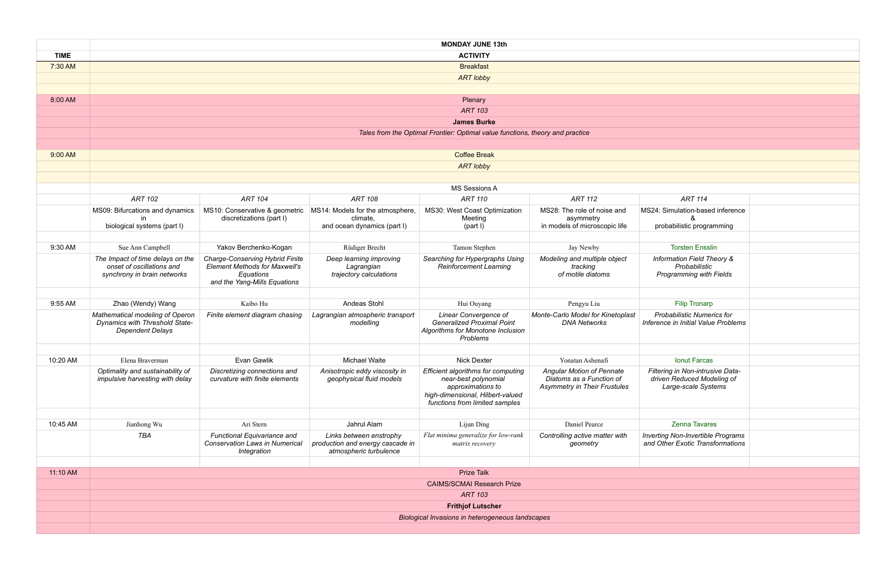: Simulation-based inference & probabilistic programming

*Information Field Theory & Probabilistic Programming with Fields*

|             | <b>MONDAY JUNE 13th</b><br><b>ACTIVITY</b>                                                          |                                                                                                                             |                                                                  |                                                                                                                                                       |                                                                                                     |                                                                        |  |  |  |
|-------------|-----------------------------------------------------------------------------------------------------|-----------------------------------------------------------------------------------------------------------------------------|------------------------------------------------------------------|-------------------------------------------------------------------------------------------------------------------------------------------------------|-----------------------------------------------------------------------------------------------------|------------------------------------------------------------------------|--|--|--|
| <b>TIME</b> |                                                                                                     |                                                                                                                             |                                                                  |                                                                                                                                                       |                                                                                                     |                                                                        |  |  |  |
| 7:30 AM     | <b>Breakfast</b>                                                                                    |                                                                                                                             |                                                                  |                                                                                                                                                       |                                                                                                     |                                                                        |  |  |  |
|             |                                                                                                     |                                                                                                                             |                                                                  | <b>ART lobby</b>                                                                                                                                      |                                                                                                     |                                                                        |  |  |  |
|             |                                                                                                     |                                                                                                                             |                                                                  |                                                                                                                                                       |                                                                                                     |                                                                        |  |  |  |
| 8:00 AM     | Plenary                                                                                             |                                                                                                                             |                                                                  |                                                                                                                                                       |                                                                                                     |                                                                        |  |  |  |
|             | <b>ART 103</b>                                                                                      |                                                                                                                             |                                                                  |                                                                                                                                                       |                                                                                                     |                                                                        |  |  |  |
|             |                                                                                                     |                                                                                                                             |                                                                  | <b>James Burke</b>                                                                                                                                    |                                                                                                     |                                                                        |  |  |  |
|             |                                                                                                     |                                                                                                                             |                                                                  | Tales from the Optimal Frontier: Optimal value functions, theory and practice                                                                         |                                                                                                     |                                                                        |  |  |  |
|             |                                                                                                     |                                                                                                                             |                                                                  |                                                                                                                                                       |                                                                                                     |                                                                        |  |  |  |
| 9:00 AM     | <b>Coffee Break</b>                                                                                 |                                                                                                                             |                                                                  |                                                                                                                                                       |                                                                                                     |                                                                        |  |  |  |
|             | <b>ART lobby</b>                                                                                    |                                                                                                                             |                                                                  |                                                                                                                                                       |                                                                                                     |                                                                        |  |  |  |
|             |                                                                                                     |                                                                                                                             |                                                                  |                                                                                                                                                       |                                                                                                     |                                                                        |  |  |  |
|             | <b>MS Sessions A</b>                                                                                |                                                                                                                             |                                                                  |                                                                                                                                                       |                                                                                                     |                                                                        |  |  |  |
|             | <b>ART 102</b>                                                                                      | <b>ART 104</b>                                                                                                              | <b>ART 108</b>                                                   | <b>ART 110</b>                                                                                                                                        | <b>ART 112</b>                                                                                      | <b>ART 114</b>                                                         |  |  |  |
|             | MS09: Bifurcations and dynamics<br><i>in</i>                                                        | MS10: Conservative & geometric<br>discretizations (part I)                                                                  | MS14: Models for the atmosphere,<br>climate,                     | MS30: West Coast Optimization<br>Meeting                                                                                                              | MS28: The role of noise and<br>asymmetry                                                            | MS24: Simulation-based i<br>&                                          |  |  |  |
|             | biological systems (part I)                                                                         |                                                                                                                             | and ocean dynamics (part I)                                      | (part I)                                                                                                                                              | in models of microscopic life                                                                       | probabilistic program                                                  |  |  |  |
|             |                                                                                                     |                                                                                                                             |                                                                  |                                                                                                                                                       |                                                                                                     |                                                                        |  |  |  |
| 9:30 AM     | Sue Ann Campbell                                                                                    | Yakov Berchenko-Kogan                                                                                                       | Rüdiger Brecht                                                   | Tamon Stephen                                                                                                                                         | Jay Newby                                                                                           | <b>Torsten Ensslin</b>                                                 |  |  |  |
|             | The Impact of time delays on the<br>onset of oscillations and<br>synchrony in brain networks        | <b>Charge-Conserving Hybrid Finite</b><br><b>Element Methods for Maxwell's</b><br>Equations<br>and the Yang-Mills Equations | Deep learning improving<br>Lagrangian<br>trajectory calculations | Searching for Hypergraphs Using<br><b>Reinforcement Learning</b>                                                                                      | Modeling and multiple object<br>tracking<br>of motile diatoms                                       | <b>Information Field The</b><br>Probabilistic<br>Programming with F    |  |  |  |
|             |                                                                                                     |                                                                                                                             |                                                                  |                                                                                                                                                       |                                                                                                     |                                                                        |  |  |  |
| 9:55 AM     | Zhao (Wendy) Wang                                                                                   | Kaibo Hu                                                                                                                    | Andeas Stohl                                                     | Hui Ouyang                                                                                                                                            | Pengyu Liu                                                                                          | <b>Filip Tronarp</b>                                                   |  |  |  |
|             | Mathematical modeling of Operon<br><b>Dynamics with Threshold State-</b><br><b>Dependent Delays</b> | Finite element diagram chasing                                                                                              | Lagrangian atmospheric transport<br>modelling                    | Linear Convergence of<br><b>Generalized Proximal Point</b><br>Algorithms for Monotone Inclusion<br><b>Problems</b>                                    | Monte-Carlo Model for Kinetoplast<br><b>DNA Networks</b>                                            | Probabilistic Numeric<br>Inference in Initial Value                    |  |  |  |
|             |                                                                                                     |                                                                                                                             | <b>Michael Waite</b>                                             |                                                                                                                                                       |                                                                                                     |                                                                        |  |  |  |
| 10:20 AM    | Elena Braverman                                                                                     | Evan Gawlik                                                                                                                 |                                                                  | <b>Nick Dexter</b>                                                                                                                                    | Yonatan Ashenafi                                                                                    | Ionut Farcas                                                           |  |  |  |
|             | Optimality and sustainability of<br>impulsive harvesting with delay                                 | Discretizing connections and<br>curvature with finite elements                                                              | Anisotropic eddy viscosity in<br>geophysical fluid models        | Efficient algorithms for computing<br>near-best polynomial<br>approximations to<br>high-dimensional, Hilbert-valued<br>functions from limited samples | <b>Angular Motion of Pennate</b><br>Diatoms as a Function of<br><b>Asymmetry in Their Frustules</b> | Filtering in Non-intrusiv<br>driven Reduced Mode<br>Large-scale Systei |  |  |  |
| 10:45 AM    | Jianhong Wu                                                                                         | Ari Stern                                                                                                                   | Jahrul Alam                                                      | Lijun Ding                                                                                                                                            | Daniel Pearce                                                                                       | Zenna Tavares                                                          |  |  |  |
|             | TBA                                                                                                 | Functional Equivariance and                                                                                                 | Links between enstrophy                                          | Flat minima generalize for low-rank                                                                                                                   | Controlling active matter with                                                                      | <b>Inverting Non-Invertible F</b>                                      |  |  |  |
|             |                                                                                                     | <b>Conservation Laws in Numerical</b><br>Integration                                                                        | production and energy cascade in<br>atmospheric turbulence       | matrix recovery                                                                                                                                       | geometry                                                                                            | and Other Exotic Transfo                                               |  |  |  |
| 11:10 AM    |                                                                                                     |                                                                                                                             |                                                                  | <b>Prize Talk</b>                                                                                                                                     |                                                                                                     |                                                                        |  |  |  |
|             | <b>CAIMS/SCMAI Research Prize</b>                                                                   |                                                                                                                             |                                                                  |                                                                                                                                                       |                                                                                                     |                                                                        |  |  |  |
|             | <b>ART 103</b>                                                                                      |                                                                                                                             |                                                                  |                                                                                                                                                       |                                                                                                     |                                                                        |  |  |  |
|             | <b>Frithjof Lutscher</b>                                                                            |                                                                                                                             |                                                                  |                                                                                                                                                       |                                                                                                     |                                                                        |  |  |  |
|             |                                                                                                     | Biological Invasions in heterogeneous landscapes                                                                            |                                                                  |                                                                                                                                                       |                                                                                                     |                                                                        |  |  |  |
|             |                                                                                                     |                                                                                                                             |                                                                  |                                                                                                                                                       |                                                                                                     |                                                                        |  |  |  |

*Probabilistic Numerics for Inference in Initial Value Problems*

*Filtering in Non-intrusive Datadriven Reduced Modeling of Large-scale Systems*

*Inverting Non-Invertible Programs and Other Exotic Transformations*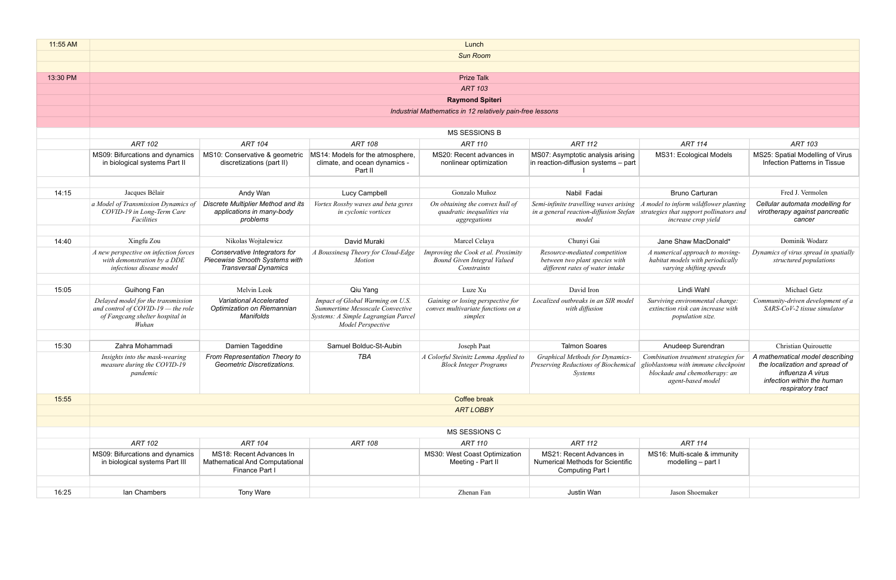| 11:55 AM | Lunch                                                                                                                  |                                                                                              |                                                                                                                                 |                                                                                          |                                                                                                                        |                                                                                                         |                                                                                                                                           |  |  |
|----------|------------------------------------------------------------------------------------------------------------------------|----------------------------------------------------------------------------------------------|---------------------------------------------------------------------------------------------------------------------------------|------------------------------------------------------------------------------------------|------------------------------------------------------------------------------------------------------------------------|---------------------------------------------------------------------------------------------------------|-------------------------------------------------------------------------------------------------------------------------------------------|--|--|
|          | <b>Sun Room</b>                                                                                                        |                                                                                              |                                                                                                                                 |                                                                                          |                                                                                                                        |                                                                                                         |                                                                                                                                           |  |  |
|          |                                                                                                                        |                                                                                              |                                                                                                                                 |                                                                                          |                                                                                                                        |                                                                                                         |                                                                                                                                           |  |  |
| 13:30 PM |                                                                                                                        |                                                                                              |                                                                                                                                 | <b>Prize Talk</b>                                                                        |                                                                                                                        |                                                                                                         |                                                                                                                                           |  |  |
|          |                                                                                                                        |                                                                                              |                                                                                                                                 | <b>ART 103</b>                                                                           |                                                                                                                        |                                                                                                         |                                                                                                                                           |  |  |
|          |                                                                                                                        |                                                                                              |                                                                                                                                 | <b>Raymond Spiteri</b>                                                                   |                                                                                                                        |                                                                                                         |                                                                                                                                           |  |  |
|          |                                                                                                                        |                                                                                              |                                                                                                                                 | Industrial Mathematics in 12 relatively pain-free lessons                                |                                                                                                                        |                                                                                                         |                                                                                                                                           |  |  |
|          |                                                                                                                        |                                                                                              |                                                                                                                                 |                                                                                          |                                                                                                                        |                                                                                                         |                                                                                                                                           |  |  |
|          |                                                                                                                        |                                                                                              |                                                                                                                                 | MS SESSIONS B                                                                            |                                                                                                                        |                                                                                                         |                                                                                                                                           |  |  |
|          | <b>ART 102</b>                                                                                                         | <b>ART 104</b>                                                                               | <b>ART 108</b>                                                                                                                  | <b>ART 110</b>                                                                           | <b>ART 112</b>                                                                                                         | <b>ART 114</b>                                                                                          | <b>ART 103</b>                                                                                                                            |  |  |
|          | MS09: Bifurcations and dynamics<br>in biological systems Part II                                                       | MS10: Conservative & geometric<br>discretizations (part II)                                  | MS14: Models for the atmosphere,<br>climate, and ocean dynamics -<br>Part II                                                    | MS20: Recent advances in<br>nonlinear optimization                                       | MS07: Asymptotic analysis arising<br>in reaction-diffusion systems - part                                              | MS31: Ecological Models                                                                                 | MS25: Spatial Modelling of Virus<br>Infection Patterns in Tissue                                                                          |  |  |
|          |                                                                                                                        |                                                                                              |                                                                                                                                 |                                                                                          |                                                                                                                        |                                                                                                         |                                                                                                                                           |  |  |
| 14:15    | Jacques Bélair                                                                                                         | Andy Wan                                                                                     | Lucy Campbell                                                                                                                   | Gonzalo Muñoz                                                                            | Nabil Fadai                                                                                                            | <b>Bruno Carturan</b>                                                                                   | Fred J. Vermolen                                                                                                                          |  |  |
|          | a Model of Transmission Dynamics of<br>COVID-19 in Long-Term Care<br>Facilities                                        | Discrete Multiplier Method and its<br>applications in many-body<br>problems                  | Vortex Rossby waves and beta gyres<br>in cyclonic vortices                                                                      | On obtaining the convex hull of<br>quadratic inequalities via<br>aggregations            | Semi-infinite travelling waves arising<br>in a general reaction-diffusion Stefan<br>model                              | A model to inform wildflower planting<br>strategies that support pollinators and<br>increase crop yield | Cellular automata modelling for<br>virotherapy against pancreatic<br>cancer                                                               |  |  |
|          |                                                                                                                        |                                                                                              |                                                                                                                                 |                                                                                          |                                                                                                                        |                                                                                                         |                                                                                                                                           |  |  |
| 14:40    | Xingfu Zou                                                                                                             | Nikolas Wojtalewicz                                                                          | David Muraki                                                                                                                    | Marcel Celaya                                                                            | Chunyi Gai                                                                                                             | Jane Shaw MacDonald*                                                                                    | Dominik Wodarz                                                                                                                            |  |  |
|          | A new perspective on infection forces<br>with demonstration by a DDE<br>infectious disease model                       | Conservative Integrators for<br>Piecewise Smooth Systems with<br><b>Transversal Dynamics</b> | A Boussinesq Theory for Cloud-Edge<br><i>Motion</i>                                                                             | Improving the Cook et al. Proximity<br><b>Bound Given Integral Valued</b><br>Constraints | Resource-mediated competition<br>between two plant species with<br>different rates of water intake                     | A numerical approach to moving-<br>habitat models with periodically<br>varying shifting speeds          | Dynamics of virus spread in spatially<br>structured populations                                                                           |  |  |
|          |                                                                                                                        |                                                                                              |                                                                                                                                 |                                                                                          |                                                                                                                        |                                                                                                         |                                                                                                                                           |  |  |
| 15:05    | Guihong Fan                                                                                                            | Melvin Leok                                                                                  | Qiu Yang                                                                                                                        | Luze Xu                                                                                  | David Iron                                                                                                             | Lindi Wahl                                                                                              | Michael Getz                                                                                                                              |  |  |
|          | Delayed model for the transmission<br>and control of COVID-19 $-$ the role<br>of Fangcang shelter hospital in<br>Wuhan | <b>Variational Accelerated</b><br>Optimization on Riemannian<br>Manifolds                    | Impact of Global Warming on U.S.<br>Summertime Mesoscale Convective<br>Systems: A Simple Lagrangian Parcel<br>Model Perspective | Gaining or losing perspective for<br>convex multivariate functions on a<br>simplex       | Localized outbreaks in an SIR model<br>with diffusion                                                                  | Surviving environmental change:<br>extinction risk can increase with<br><i>population size.</i>         | Community-driven development of a<br>SARS-CoV-2 tissue simulator                                                                          |  |  |
|          |                                                                                                                        |                                                                                              |                                                                                                                                 |                                                                                          |                                                                                                                        |                                                                                                         |                                                                                                                                           |  |  |
| 15:30    | Zahra Mohammadi                                                                                                        | Damien Tageddine                                                                             | Samuel Bolduc-St-Aubin                                                                                                          | Joseph Paat                                                                              | <b>Talmon Soares</b>                                                                                                   | Anudeep Surendran                                                                                       | <b>Christian Quirouette</b>                                                                                                               |  |  |
|          | Insights into the mask-wearing<br>measure during the COVID-19<br>pandemic                                              | From Representation Theory to<br>Geometric Discretizations.                                  | <b>TBA</b>                                                                                                                      | A Colorful Steinitz Lemma Applied to<br><b>Block Integer Programs</b>                    | Graphical Methods for Dynamics-<br>Preserving Reductions of Biochemical glioblastoma with immune checkpoint<br>Systems | Combination treatment strategies for<br>blockade and chemotherapy: an<br>agent-based model              | A mathematical model describing<br>the localization and spread of<br>influenza A virus<br>infection within the human<br>respiratory tract |  |  |
| 15:55    |                                                                                                                        |                                                                                              |                                                                                                                                 | Coffee break                                                                             |                                                                                                                        |                                                                                                         |                                                                                                                                           |  |  |
|          |                                                                                                                        |                                                                                              |                                                                                                                                 | <b>ART LOBBY</b>                                                                         |                                                                                                                        |                                                                                                         |                                                                                                                                           |  |  |
|          |                                                                                                                        |                                                                                              |                                                                                                                                 |                                                                                          |                                                                                                                        |                                                                                                         |                                                                                                                                           |  |  |
|          | MS SESSIONS C                                                                                                          |                                                                                              |                                                                                                                                 |                                                                                          |                                                                                                                        |                                                                                                         |                                                                                                                                           |  |  |
|          | <b>ART 102</b><br><b>ART 108</b><br><b>ART 104</b><br><b>ART 110</b><br><b>ART 112</b><br><b>ART 114</b>               |                                                                                              |                                                                                                                                 |                                                                                          |                                                                                                                        |                                                                                                         |                                                                                                                                           |  |  |
|          | MS09: Bifurcations and dynamics<br>in biological systems Part III                                                      | MS18: Recent Advances In<br><b>Mathematical And Computational</b><br>Finance Part I          |                                                                                                                                 | MS30: West Coast Optimization<br>Meeting - Part II                                       | MS21: Recent Advances in<br><b>Numerical Methods for Scientific</b><br>Computing Part I                                | MS16: Multi-scale & immunity<br>modelling - part I                                                      |                                                                                                                                           |  |  |
|          |                                                                                                                        |                                                                                              |                                                                                                                                 |                                                                                          |                                                                                                                        |                                                                                                         |                                                                                                                                           |  |  |
| 16:25    | lan Chambers                                                                                                           | Tony Ware                                                                                    |                                                                                                                                 | Zhenan Fan                                                                               | Justin Wan                                                                                                             | Jason Shoemaker                                                                                         |                                                                                                                                           |  |  |